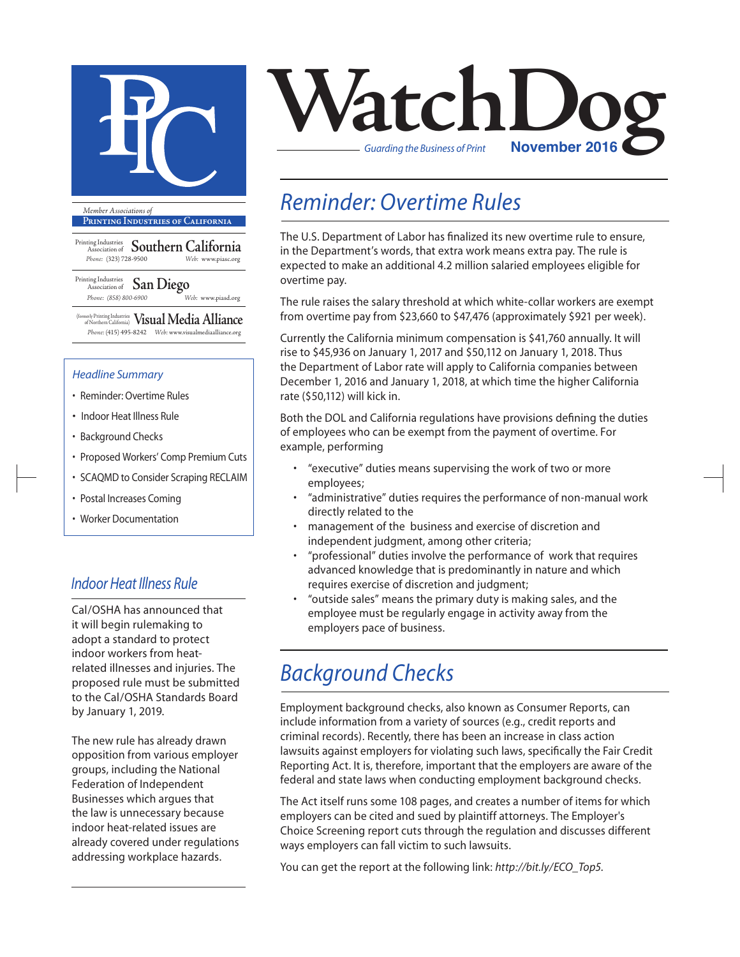

**Printing Industries of California**

Printing Industries Association of **Southern California** *Phone:* (323) 728-9500 *Web:* www.piasc.org

#### Printing Industries Association of **San Diego** *Phone: (858) 800-6900 Web:* www.piasd.org

(formerly Printing Industries of Northern California) **Visual Media Alliance** *Phone:* (415) 495-8242 *Web:* www.visualmediaalliance.org

#### *Headline Summary*

- Reminder: Overtime Rules
- Indoor Heat Illness Rule
- Background Checks
- Proposed Workers' Comp Premium Cuts
- SCAQMD to Consider Scraping RECLAIM
- Postal Increases Coming
- Worker Documentation

#### *Indoor Heat Illness Rule*

Cal/OSHA has announced that it will begin rulemaking to adopt a standard to protect indoor workers from heatrelated illnesses and injuries. The proposed rule must be submitted to the Cal/OSHA Standards Board by January 1, 2019.

The new rule has already drawn opposition from various employer groups, including the National Federation of Independent Businesses which argues that the law is unnecessary because indoor heat-related issues are already covered under regulations addressing workplace hazards.



#### *Reminder: Overtime Rules*

The U.S. Department of Labor has finalized its new overtime rule to ensure, in the Department's words, that extra work means extra pay. The rule is expected to make an additional 4.2 million salaried employees eligible for overtime pay.

The rule raises the salary threshold at which white-collar workers are exempt from overtime pay from \$23,660 to \$47,476 (approximately \$921 per week).

Currently the California minimum compensation is \$41,760 annually. It will rise to \$45,936 on January 1, 2017 and \$50,112 on January 1, 2018. Thus the Department of Labor rate will apply to California companies between December 1, 2016 and January 1, 2018, at which time the higher California rate (\$50,112) will kick in.

Both the DOL and California regulations have provisions defining the duties of employees who can be exempt from the payment of overtime. For example, performing

- "executive" duties means supervising the work of two or more employees;
- "administrative" duties requires the performance of non-manual work directly related to the
- management of the business and exercise of discretion and independent judgment, among other criteria;
- "professional" duties involve the performance of work that requires advanced knowledge that is predominantly in nature and which requires exercise of discretion and judgment;
- "outside sales" means the primary duty is making sales, and the employee must be regularly engage in activity away from the employers pace of business.

### *Background Checks*

Employment background checks, also known as Consumer Reports, can include information from a variety of sources (e.g., credit reports and criminal records). Recently, there has been an increase in class action lawsuits against employers for violating such laws, specifically the Fair Credit Reporting Act. It is, therefore, important that the employers are aware of the federal and state laws when conducting employment background checks.

The Act itself runs some 108 pages, and creates a number of items for which employers can be cited and sued by plaintiff attorneys. The Employer's Choice Screening report cuts through the regulation and discusses different ways employers can fall victim to such lawsuits.

You can get the report at the following link: *http://bit.ly/ECO\_Top5.*